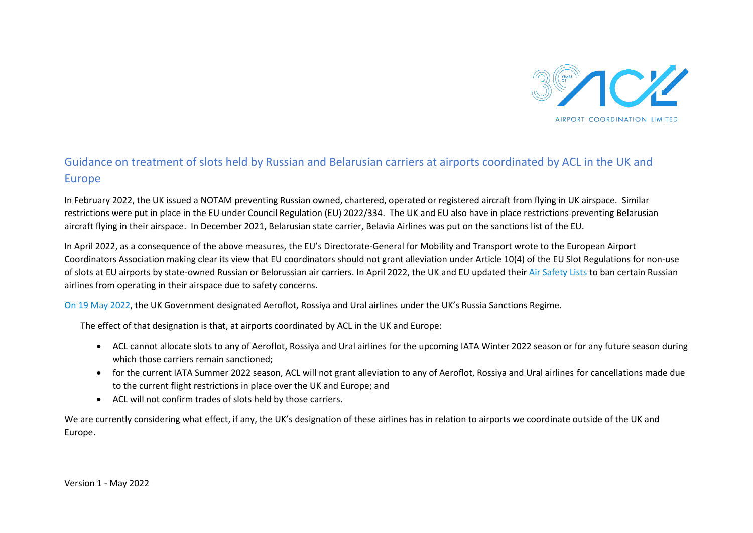

## Guidance on treatment of slots held by Russian and Belarusian carriers at airports coordinated by ACL in the UK and Europe

In February 2022, the UK issued a NOTAM preventing Russian owned, chartered, operated or registered aircraft from flying in UK airspace. Similar restrictions were put in place in the EU under Council Regulation (EU) 2022/334. The UK and EU also have in place restrictions preventing Belarusian aircraft flying in their airspace. In December 2021, Belarusian state carrier, Belavia Airlines was put on the sanctions list of the EU.

In April 2022, as a consequence of the above measures, the EU's Directorate-General for Mobility and Transport wrote to the European Airport Coordinators Association making clear its view that EU coordinators should not grant alleviation under Article 10(4) of the EU Slot Regulations for non-use of slots at EU airports by state-owned Russian or Belorussian air carriers. In April 2022, the UK and EU updated thei[r Air Safety Lists](https://www.caa.co.uk/Data-and-analysis/Safety-and-security/Banned-airlines-list/) to ban certain Russian airlines from operating in their airspace due to safety concerns.

[On 19 May 2022,](https://www.gov.uk/government/news/uk-targets-russian-airlines-with-new-sanctions) the UK Government designated Aeroflot, Rossiya and Ural airlines under the UK's Russia Sanctions Regime.

The effect of that designation is that, at airports coordinated by ACL in the UK and Europe:

- ACL cannot allocate slots to any of Aeroflot, Rossiya and Ural airlines for the upcoming IATA Winter 2022 season or for any future season during which those carriers remain sanctioned;
- for the current IATA Summer 2022 season, ACL will not grant alleviation to any of Aeroflot, Rossiya and Ural airlines for cancellations made due to the current flight restrictions in place over the UK and Europe; and
- ACL will not confirm trades of slots held by those carriers.

We are currently considering what effect, if any, the UK's designation of these airlines has in relation to airports we coordinate outside of the UK and Europe.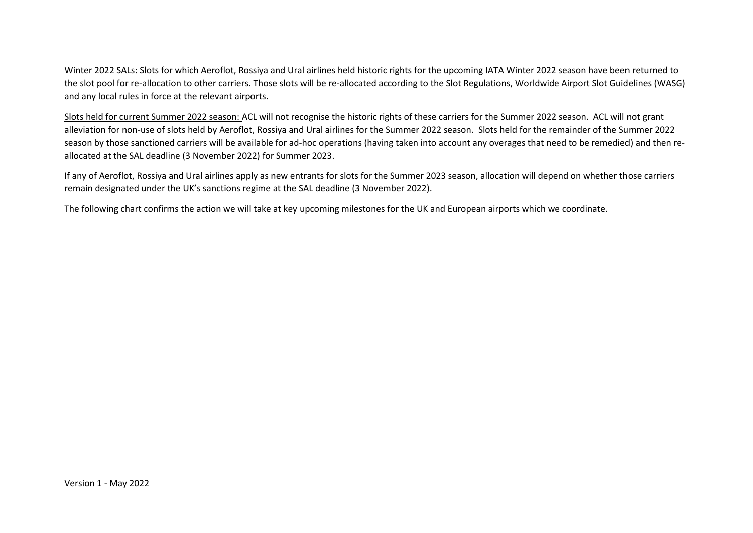Winter 2022 SALs: Slots for which Aeroflot, Rossiya and Ural airlines held historic rights for the upcoming IATA Winter 2022 season have been returned to the slot pool for re-allocation to other carriers. Those slots will be re-allocated according to the Slot Regulations, Worldwide Airport Slot Guidelines (WASG) and any local rules in force at the relevant airports.

Slots held for current Summer 2022 season: ACL will not recognise the historic rights of these carriers for the Summer 2022 season. ACL will not grant alleviation for non-use of slots held by Aeroflot, Rossiya and Ural airlines for the Summer 2022 season. Slots held for the remainder of the Summer 2022 season by those sanctioned carriers will be available for ad-hoc operations (having taken into account any overages that need to be remedied) and then reallocated at the SAL deadline (3 November 2022) for Summer 2023.

If any of Aeroflot, Rossiya and Ural airlines apply as new entrants for slots for the Summer 2023 season, allocation will depend on whether those carriers remain designated under the UK's sanctions regime at the SAL deadline (3 November 2022).

The following chart confirms the action we will take at key upcoming milestones for the UK and European airports which we coordinate.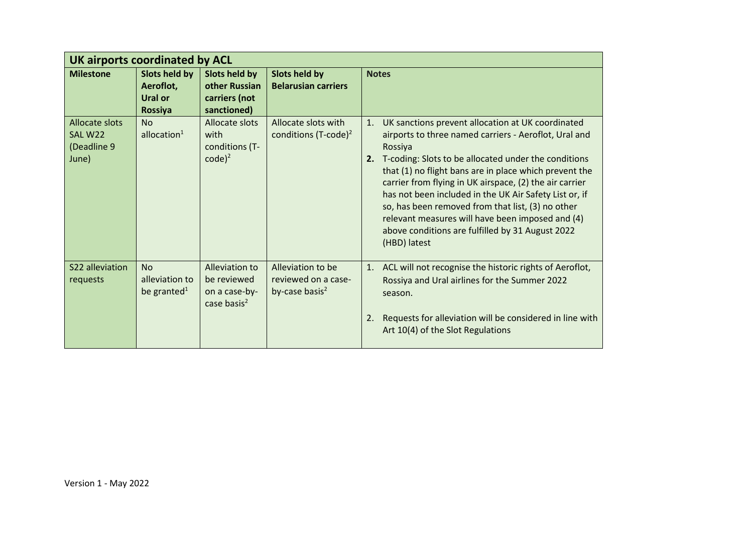| UK airports coordinated by ACL                           |                                                         |                                                                           |                                                               |                                                                                                                                                                                                                                                                                                                                                                                                                                                                                                                                                                   |  |  |  |  |
|----------------------------------------------------------|---------------------------------------------------------|---------------------------------------------------------------------------|---------------------------------------------------------------|-------------------------------------------------------------------------------------------------------------------------------------------------------------------------------------------------------------------------------------------------------------------------------------------------------------------------------------------------------------------------------------------------------------------------------------------------------------------------------------------------------------------------------------------------------------------|--|--|--|--|
| <b>Milestone</b>                                         | Slots held by<br>Aeroflot,<br><b>Ural or</b><br>Rossiya | <b>Slots held by</b><br>other Russian<br>carriers (not<br>sanctioned)     | Slots held by<br><b>Belarusian carriers</b>                   | <b>Notes</b>                                                                                                                                                                                                                                                                                                                                                                                                                                                                                                                                                      |  |  |  |  |
| <b>Allocate slots</b><br>SAL W22<br>(Deadline 9<br>June) | <b>No</b><br>allocation $1$                             | Allocate slots<br>with<br>conditions (T-<br>$code)^2$                     | Allocate slots with<br>conditions $(T\text{-code})^2$         | UK sanctions prevent allocation at UK coordinated<br>$\mathbf{1}$ .<br>airports to three named carriers - Aeroflot, Ural and<br>Rossiya<br>T-coding: Slots to be allocated under the conditions<br>2.<br>that (1) no flight bans are in place which prevent the<br>carrier from flying in UK airspace, (2) the air carrier<br>has not been included in the UK Air Safety List or, if<br>so, has been removed from that list, (3) no other<br>relevant measures will have been imposed and (4)<br>above conditions are fulfilled by 31 August 2022<br>(HBD) latest |  |  |  |  |
| S22 alleviation<br>requests                              | No<br>alleviation to<br>be granted <sup>1</sup>         | Alleviation to<br>be reviewed<br>on a case-by-<br>case basis <sup>2</sup> | Alleviation to be<br>reviewed on a case-<br>by-case basis $2$ | 1. ACL will not recognise the historic rights of Aeroflot,<br>Rossiya and Ural airlines for the Summer 2022<br>season.<br>Requests for alleviation will be considered in line with<br>2.<br>Art 10(4) of the Slot Regulations                                                                                                                                                                                                                                                                                                                                     |  |  |  |  |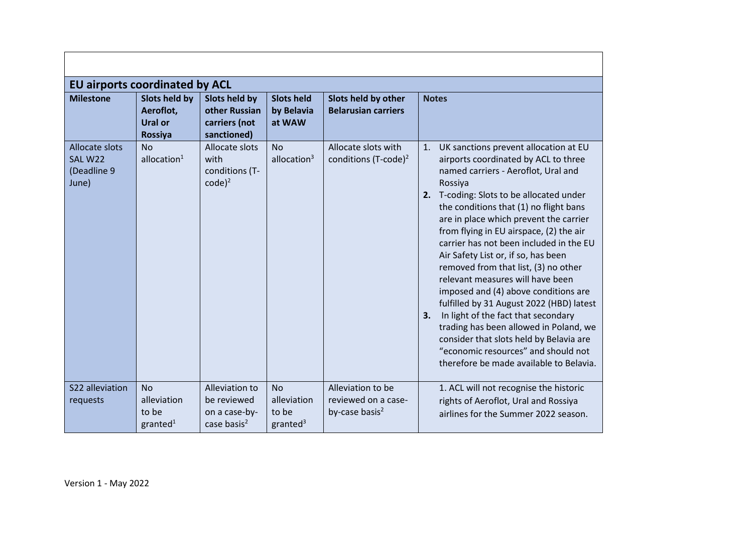| <b>EU airports coordinated by ACL</b>             |                                                                       |                                                                  |                                                    |                                                                        |                                                                                                                                                                                                                                                                                                                                                                                                                                                                                                                                                                                                                                                                                                                                                                                        |  |  |  |
|---------------------------------------------------|-----------------------------------------------------------------------|------------------------------------------------------------------|----------------------------------------------------|------------------------------------------------------------------------|----------------------------------------------------------------------------------------------------------------------------------------------------------------------------------------------------------------------------------------------------------------------------------------------------------------------------------------------------------------------------------------------------------------------------------------------------------------------------------------------------------------------------------------------------------------------------------------------------------------------------------------------------------------------------------------------------------------------------------------------------------------------------------------|--|--|--|
| <b>Milestone</b>                                  | <b>Slots held by</b><br>Aeroflot,<br><b>Ural or</b><br><b>Rossiya</b> | Slots held by<br>other Russian<br>carriers (not<br>sanctioned)   | <b>Slots held</b><br>by Belavia<br>at WAW          | Slots held by other<br><b>Belarusian carriers</b>                      | <b>Notes</b>                                                                                                                                                                                                                                                                                                                                                                                                                                                                                                                                                                                                                                                                                                                                                                           |  |  |  |
| Allocate slots<br>SAL W22<br>(Deadline 9<br>June) | <b>No</b><br>allocation $1$                                           | Allocate slots<br>with<br>conditions (T-<br>$code)^2$            | <b>No</b><br>allocation <sup>3</sup>               | Allocate slots with<br>conditions $(T\text{-code})^2$                  | UK sanctions prevent allocation at EU<br>1.<br>airports coordinated by ACL to three<br>named carriers - Aeroflot, Ural and<br>Rossiya<br>2. T-coding: Slots to be allocated under<br>the conditions that (1) no flight bans<br>are in place which prevent the carrier<br>from flying in EU airspace, (2) the air<br>carrier has not been included in the EU<br>Air Safety List or, if so, has been<br>removed from that list, (3) no other<br>relevant measures will have been<br>imposed and (4) above conditions are<br>fulfilled by 31 August 2022 (HBD) latest<br>In light of the fact that secondary<br>3.<br>trading has been allowed in Poland, we<br>consider that slots held by Belavia are<br>"economic resources" and should not<br>therefore be made available to Belavia. |  |  |  |
| S22 alleviation<br>requests                       | No<br>alleviation<br>to be<br>granted <sup>1</sup>                    | Alleviation to<br>be reviewed<br>on a case-by-<br>case basis $2$ | No<br>alleviation<br>to be<br>granted <sup>3</sup> | Alleviation to be<br>reviewed on a case-<br>by-case basis <sup>2</sup> | 1. ACL will not recognise the historic<br>rights of Aeroflot, Ural and Rossiya<br>airlines for the Summer 2022 season.                                                                                                                                                                                                                                                                                                                                                                                                                                                                                                                                                                                                                                                                 |  |  |  |